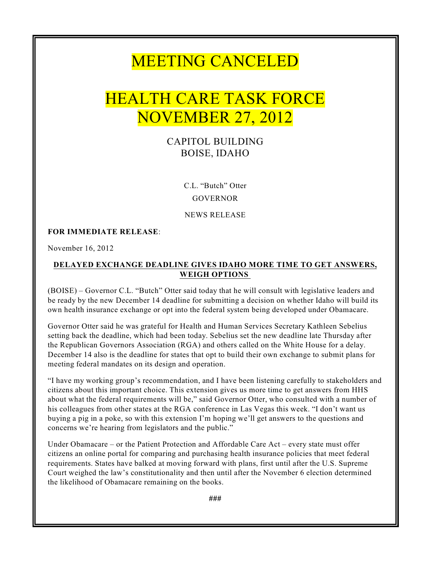## MEETING CANCELED

# HEALTH CARE TASK FORCE NOVEMBER 27, 2012

### CAPITOL BUILDING BOISE, IDAHO

C.L. "Butch" Otter **GOVERNOR** 

NEWS RELEASE

#### **FOR IMMEDIATE RELEASE**:

November 16, 2012

### **DELAYED EXCHANGE DEADLINE GIVES IDAHO MORE TIME TO GET ANSWERS, WEIGH OPTIONS**

(BOISE) – Governor C.L. "Butch" Otter said today that he will consult with legislative leaders and be ready by the new December 14 deadline for submitting a decision on whether Idaho will build its own health insurance exchange or opt into the federal system being developed under Obamacare.

Governor Otter said he was grateful for Health and Human Services Secretary Kathleen Sebelius setting back the deadline, which had been today. Sebelius set the new deadline late Thursday after the Republican Governors Association (RGA) and others called on the White House for a delay. December 14 also is the deadline for states that opt to build their own exchange to submit plans for meeting federal mandates on its design and operation.

"I have my working group's recommendation, and I have been listening carefully to stakeholders and citizens about this important choice. This extension gives us more time to get answers from HHS about what the federal requirements will be," said Governor Otter, who consulted with a number of his colleagues from other states at the RGA conference in Las Vegas this week. "I don't want us buying a pig in a poke, so with this extension I'm hoping we'll get answers to the questions and concerns we're hearing from legislators and the public."

Under Obamacare – or the Patient Protection and Affordable Care Act – every state must offer citizens an online portal for comparing and purchasing health insurance policies that meet federal requirements. States have balked at moving forward with plans, first until after the U.S. Supreme Court weighed the law's constitutionality and then until after the November 6 election determined the likelihood of Obamacare remaining on the books.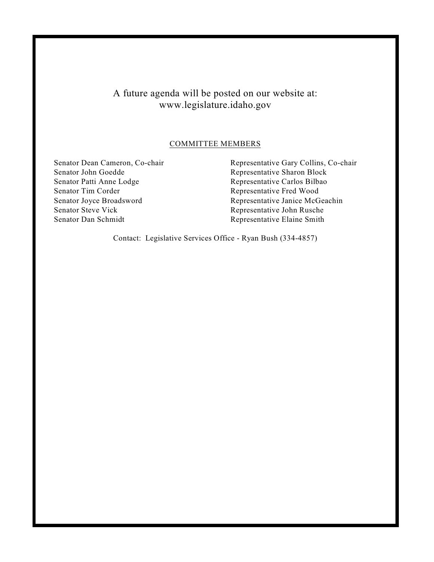A future agenda will be posted on our website at: www.legislature.idaho.gov

#### COMMITTEE MEMBERS

Senator Patti Anne Lodge Representative Carlos Bilbao Senator Tim Corder **Representative Fred Wood** Senator Dan Schmidt<br>
Representative Elaine Smith

Senator Dean Cameron, Co-chair<br>
Senator John Goedde<br>
Representative Gary Collins, Co-chair<br>
Representative Sharon Block Representative Sharon Block Senator Joyce Broadsword<br>
Senator Steve Vick<br>
Representative John Rusche<br>
Representative John Rusche Representative John Rusche

Contact: Legislative Services Office - Ryan Bush (334-4857)